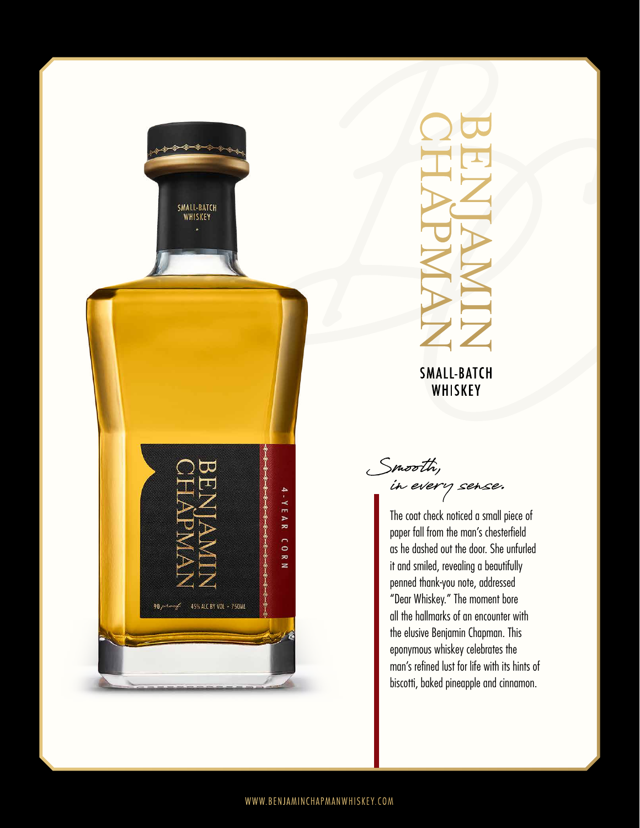



**SMALL-BATCH** WHISKEY

in every sense. Smooth,

The coat check noticed a small piece of paper fall from the man's chesterfield as he dashed out the door. She unfurled it and smiled, revealing a beautifully penned thank-you note, addressed "Dear Whiskey." The moment bore all the hallmarks of an encounter with the elusive Benjamin Chapman. This eponymous whiskey celebrates the man's refined lust for life with its hints of biscotti, baked pineapple and cinnamon.